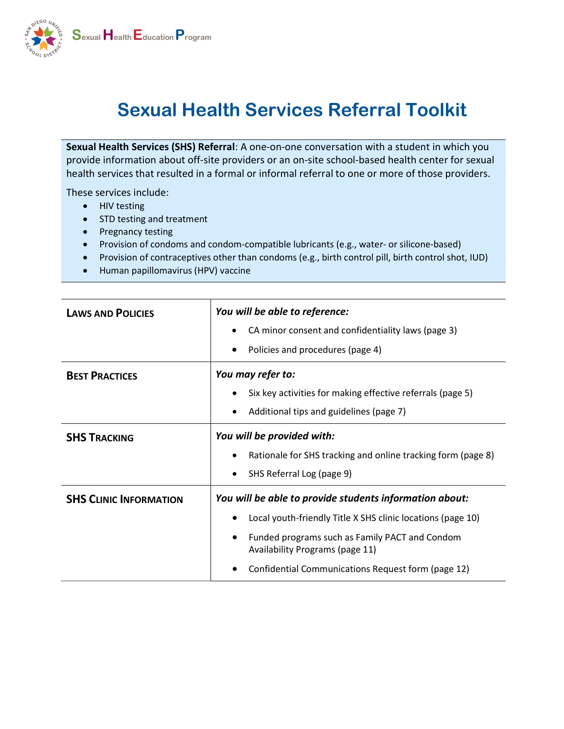

# Sexual Health Services Referral Toolkit

Sexual Health Services (SHS) Referral: A one-on-one conversation with a student in which you provide information about off-site providers or an on-site school-based health center for sexual health services that resulted in a formal or informal referral to one or more of those providers.

These services include:

- HIV testing
- STD testing and treatment
- Pregnancy testing
- Provision of condoms and condom-compatible lubricants (e.g., water- or silicone-based)
- Provision of contraceptives other than condoms (e.g., birth control pill, birth control shot, IUD)
- Human papillomavirus (HPV) vaccine

| <b>LAWS AND POLICIES</b>      | You will be able to reference:                                                    |
|-------------------------------|-----------------------------------------------------------------------------------|
|                               | CA minor consent and confidentiality laws (page 3)                                |
|                               | Policies and procedures (page 4)                                                  |
| <b>BEST PRACTICES</b>         | You may refer to:                                                                 |
|                               | Six key activities for making effective referrals (page 5)                        |
|                               | Additional tips and guidelines (page 7)                                           |
| <b>SHS TRACKING</b>           | You will be provided with:                                                        |
|                               | Rationale for SHS tracking and online tracking form (page 8)                      |
|                               | SHS Referral Log (page 9)                                                         |
| <b>SHS CLINIC INFORMATION</b> | You will be able to provide students information about:                           |
|                               | Local youth-friendly Title X SHS clinic locations (page 10)                       |
|                               | Funded programs such as Family PACT and Condom<br>Availability Programs (page 11) |
|                               | Confidential Communications Request form (page 12)                                |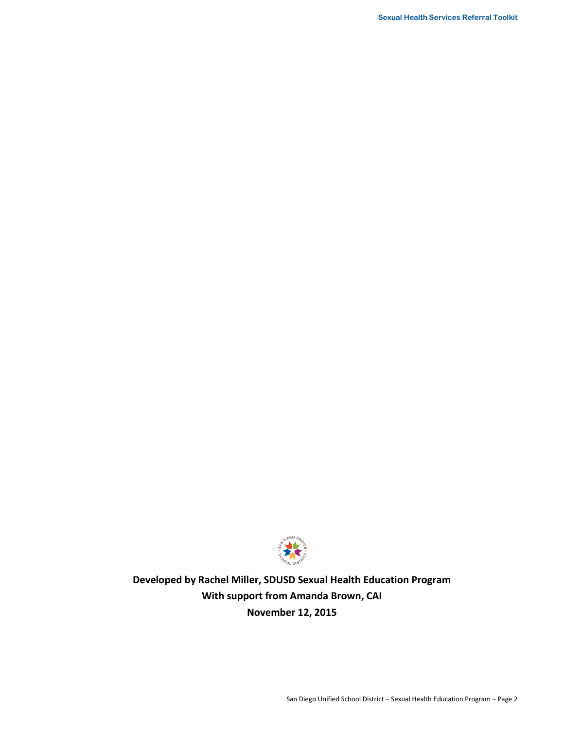

**Developed by Rachel Miller, SDUSD Sexual Health Education Program With support from Amanda Brown, CAI November 12, 2015**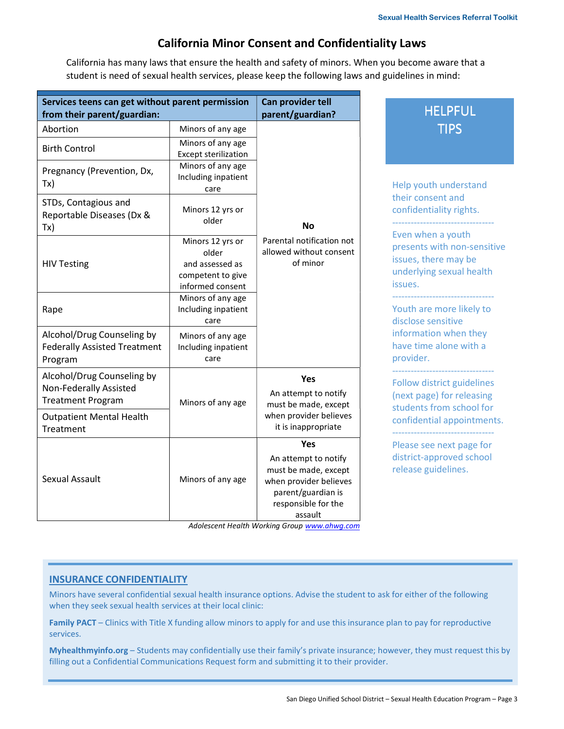## **California Minor Consent and Confidentiality Laws**

California has many laws that ensure the health and safety of minors. When you become aware that a student is need of sexual health services, please keep the following laws and guidelines in mind:

| Services teens can get without parent permission<br>from their parent/guardian:         |                                                                                       | Can provider tell<br>parent/guardian?                                                                                                 | <b>HELPFUL</b>                                                                                                  |
|-----------------------------------------------------------------------------------------|---------------------------------------------------------------------------------------|---------------------------------------------------------------------------------------------------------------------------------------|-----------------------------------------------------------------------------------------------------------------|
| Abortion                                                                                | Minors of any age                                                                     |                                                                                                                                       | <b>TIPS</b>                                                                                                     |
| <b>Birth Control</b>                                                                    | Minors of any age<br><b>Except sterilization</b>                                      |                                                                                                                                       |                                                                                                                 |
| Pregnancy (Prevention, Dx,<br>Tx)                                                       | Minors of any age<br>Including inpatient<br>care                                      |                                                                                                                                       | Help youth understand                                                                                           |
| STDs, Contagious and<br>Reportable Diseases (Dx &<br>Tx)                                | Minors 12 yrs or<br>older                                                             | <b>No</b>                                                                                                                             | their consent and<br>confidentiality rights.                                                                    |
| <b>HIV Testing</b>                                                                      | Minors 12 yrs or<br>older<br>and assessed as<br>competent to give<br>informed consent | Parental notification not<br>allowed without consent<br>of minor                                                                      | Even when a youth<br>presents with non-sensitive<br>issues, there may be<br>underlying sexual health<br>issues. |
| Rape                                                                                    | Minors of any age<br>Including inpatient<br>care                                      |                                                                                                                                       | Youth are more likely to<br>disclose sensitive                                                                  |
| Alcohol/Drug Counseling by<br><b>Federally Assisted Treatment</b><br>Program            | Minors of any age<br>Including inpatient<br>care                                      |                                                                                                                                       | information when they<br>have time alone with a<br>provider.                                                    |
| Alcohol/Drug Counseling by<br><b>Non-Federally Assisted</b><br><b>Treatment Program</b> | Minors of any age                                                                     | Yes<br>An attempt to notify<br>must be made, except                                                                                   | <b>Follow district guidelines</b><br>(next page) for releasing<br>students from school for                      |
| <b>Outpatient Mental Health</b><br>Treatment                                            |                                                                                       | when provider believes<br>it is inappropriate                                                                                         | confidential appointments.                                                                                      |
| Sexual Assault                                                                          | Minors of any age                                                                     | Yes<br>An attempt to notify<br>must be made, except<br>when provider believes<br>parent/guardian is<br>responsible for the<br>assault | Please see next page for<br>district-approved school<br>release guidelines.                                     |

 *Adolescent Health Working Group www.ahwg.com*

#### **INSURANCE CONFIDENTIALITY**

Minors have several confidential sexual health insurance options. Advise the student to ask for either of the following when they seek sexual health services at their local clinic:

**Family PACT** – Clinics with Title X funding allow minors to apply for and use this insurance plan to pay for reproductive services.

**Myhealthmyinfo.org** – Students may confidentially use their family's private insurance; however, they must request this by filling out a Confidential Communications Request form and submitting it to their provider.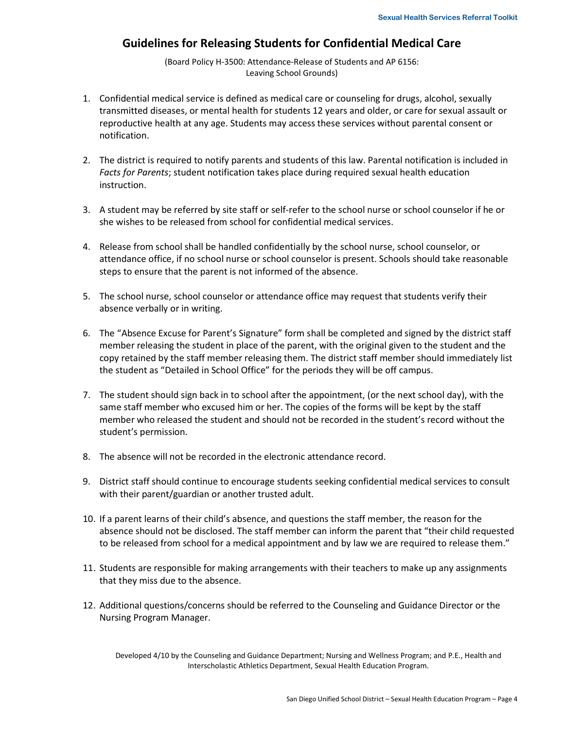#### **Guidelines for Releasing Students for Confidential Medical Care**

(Board Policy H-3500: Attendance-Release of Students and AP 6156: Leaving School Grounds)

- 1. Confidential medical service is defined as medical care or counseling for drugs, alcohol, sexually transmitted diseases, or mental health for students 12 years and older, or care for sexual assault or reproductive health at any age. Students may access these services without parental consent or notification.
- 2. The district is required to notify parents and students of this law. Parental notification is included in *Facts for Parents*; student notification takes place during required sexual health education instruction.
- 3. A student may be referred by site staff or self-refer to the school nurse or school counselor if he or she wishes to be released from school for confidential medical services.
- 4. Release from school shall be handled confidentially by the school nurse, school counselor, or attendance office, if no school nurse or school counselor is present. Schools should take reasonable steps to ensure that the parent is not informed of the absence.
- 5. The school nurse, school counselor or attendance office may request that students verify their absence verbally or in writing.
- 6. The "Absence Excuse for Parent's Signature" form shall be completed and signed by the district staff member releasing the student in place of the parent, with the original given to the student and the copy retained by the staff member releasing them. The district staff member should immediately list the student as "Detailed in School Office" for the periods they will be off campus.
- 7. The student should sign back in to school after the appointment, (or the next school day), with the same staff member who excused him or her. The copies of the forms will be kept by the staff member who released the student and should not be recorded in the student's record without the student's permission.
- 8. The absence will not be recorded in the electronic attendance record.
- 9. District staff should continue to encourage students seeking confidential medical services to consult with their parent/guardian or another trusted adult.
- 10. If a parent learns of their child's absence, and questions the staff member, the reason for the absence should not be disclosed. The staff member can inform the parent that "their child requested to be released from school for a medical appointment and by law we are required to release them."
- 11. Students are responsible for making arrangements with their teachers to make up any assignments that they miss due to the absence.
- 12. Additional questions/concerns should be referred to the Counseling and Guidance Director or the Nursing Program Manager.

Developed 4/10 by the Counseling and Guidance Department; Nursing and Wellness Program; and P.E., Health and Interscholastic Athletics Department, Sexual Health Education Program.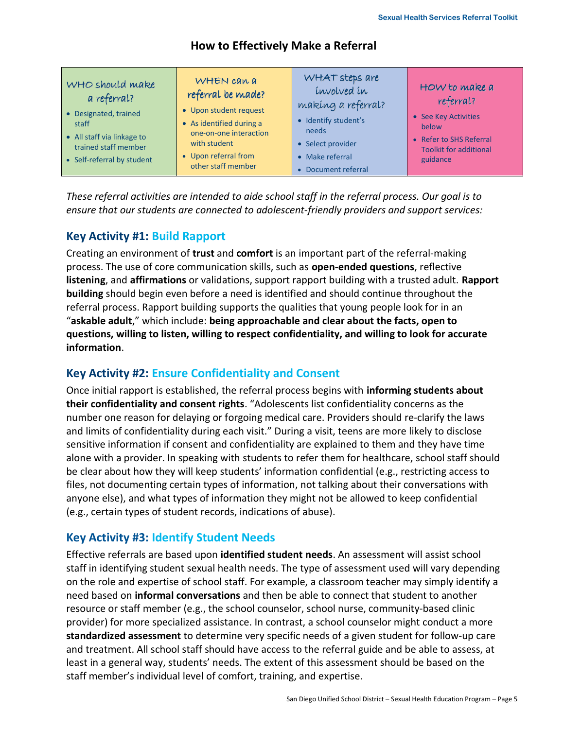### **How to Effectively Make a Referral**

*These referral activities are intended to aide school staff in the referral process. Our goal is to ensure that our students are connected to adolescent-friendly providers and support services:* 

## **Key Activity #1: Build Rapport**

Creating an environment of **trust** and **comfort** is an important part of the referralmaking process. The use of core communication skills, such as **openended questions**, reflective **listening**, and **affirmations** or validations, support rapport building with a trusted adult. **Rapport building** should begin even before a need is identified and should continue throughout the referral process. Rapport building supports the qualities that young people look for in an "**askable adult**," which include: **being approachable and clear about the facts, open to questions, willing to listen, willing to respect confidentiality, and willing to look for accurate information**.

## **Key Activity #2: Ensure Confidentiality and Consent**

Once initial rapport is established, the referral process begins with **informing students about their confidentiality and consent rights**. "Adolescents list confidentiality concerns as the number one reason for delaying or forgoing medical care. Providers should reclarify the laws and limits of confidentiality during each visit." During a visit, teens are more likely to disclose sensitive information if consent and confidentiality are explained to them and they have time alone with a provider. In speaking with students to refer them for healthcare, school staff should be clear about how they will keep students' information confidential (e.g., restricting access to files, not documenting certain types of information, not talking about their conversations with anyone else), and what types of information they might not be allowed to keep confidential (e.g., certain types of student records, indications of abuse).

## **Key Activity #3: Identify Student Needs**

Effective referrals are based upon **identified student needs**. An assessment will assist school staff in identifying student sexual health needs. The type of assessment used will vary depending on the role and expertise of school staff. For example, a classroom teacher may simply identify a need based on **informal conversations** and then be able to connect that student to another resource or staff member (e.g., the school counselor, school nurse, community-based clinic provider) for more specialized assistance. In contrast, a school counselor might conduct a more **standardized assessment** to determine very specific needs of a given student for followup care and treatment. All school staff should have access to the referral guide and be able to assess, at least in a general way, students' needs. The extent of this assessment should be based on the staff member's individual level of comfort, training, and expertise.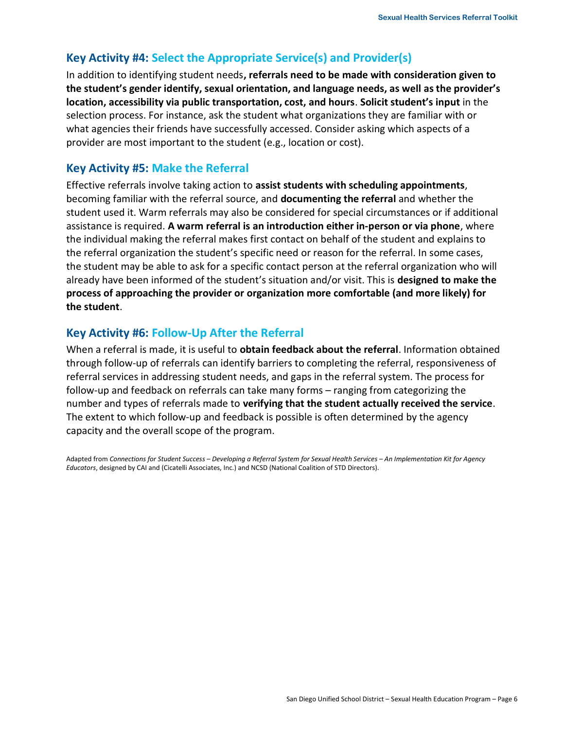## **Key Activity #4: Select the Appropriate Service(s) and Provider(s)**

In addition to identifying student needs**, referrals need to be made with consideration given to the student's gender identify, sexual orientation, and language needs, as well as the provider's location, accessibility via public transportation, cost, and hours**. **Solicit student's input** in the selection process. For instance, ask the student what organizations they are familiar with or what agencies their friends have successfully accessed. Consider asking which aspects of a provider are most important to the student (e.g., location or cost).

## **Key Activity #5: Make the Referral**

Effective referrals involve taking action to **assist students with scheduling appointments**, becoming familiar with the referral source, and **documenting the referral** and whether the student used it. Warm referrals may also be considered for special circumstances or if additional assistance is required. A warm referral is an introduction either in-person or via phone, where the individual making the referral makes first contact on behalf of the student and explains to the referral organization the student's specific need or reason for the referral. In some cases, the student may be able to ask for a specific contact person at the referral organization who will already have been informed of the student's situation and/or visit. This is **designed to make the process of approaching the provider or organization more comfortable (and more likely) for the student**.

## **Key Activity #6: Follow-Up After the Referral**

When a referral is made, it is useful to **obtain feedback about the referral**. Information obtained through follow-up of referrals can identify barriers to completing the referral, responsiveness of referral services in addressing student needs, and gaps in the referral system. The process for follow-up and feedback on referrals can take many forms – ranging from categorizing the number and types of referrals made to **verifying that the student actually received the service**. The extent to which follow-up and feedback is possible is often determined by the agency capacity and the overall scope of the program.

Adapted from *Connections for Student Success – Developing a Referral System for Sexual Health Services – An Implementation Kit for Agency Educators*, designed by CAI and (Cicatelli Associates, Inc.) and NCSD (National Coalition of STD Directors).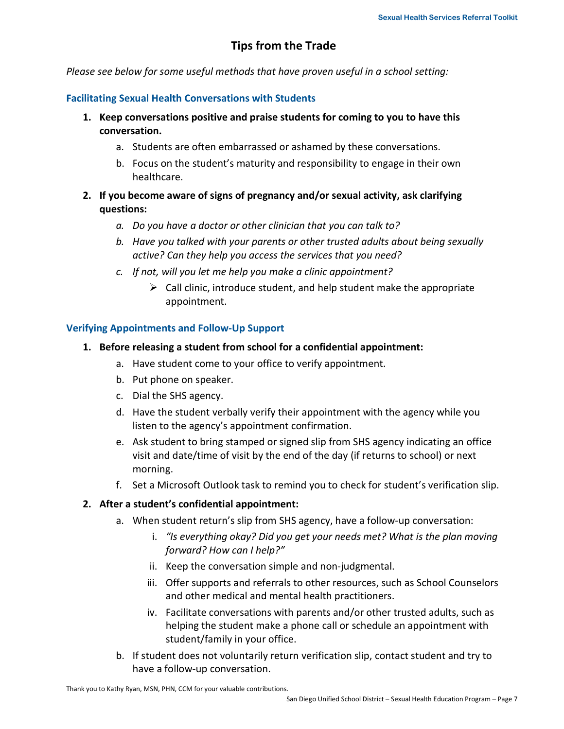## **Tips from the Trade**

*Please see below for some useful methods that have proven useful in a school setting:* 

#### **Facilitating Sexual Health Conversations with Students**

- **1. Keep conversations positive and praise students for coming to you to have this conversation.** 
	- a. Students are often embarrassed or ashamed by these conversations.
	- b. Focus on the student's maturity and responsibility to engage in their own healthcare.
- **2. If you become aware of signs of pregnancy and/or sexual activity, ask clarifying questions:** 
	- *a. Do you have a doctor or other clinician that you can talk to?*
	- *b. Have you talked with your parents or other trusted adults about being sexually active? Can they help you access the services that you need?*
	- *c. If not, will you let me help you make a clinic appointment?* 
		- $\triangleright$  Call clinic, introduce student, and help student make the appropriate appointment.

#### **Verifying Appointments and FollowUp Support**

- **1. Before releasing a student from school for a confidential appointment:** 
	- a. Have student come to your office to verify appointment.
	- b. Put phone on speaker.
	- c. Dial the SHS agency.
	- d. Have the student verbally verify their appointment with the agency while you listen to the agency's appointment confirmation.
	- e. Ask student to bring stamped or signed slip from SHS agency indicating an office visit and date/time of visit by the end of the day (if returns to school) or next morning.
	- f. Set a Microsoft Outlook task to remind you to check for student's verification slip.

#### **2. After a student's confidential appointment:**

- a. When student return's slip from SHS agency, have a follow-up conversation:
	- i. *"Is everything okay? Did you get your needs met? What is the plan moving forward? How can I help?"*
	- ii. Keep the conversation simple and non-judgmental.
	- iii. Offer supports and referrals to other resources, such as School Counselors and other medical and mental health practitioners.
	- iv. Facilitate conversations with parents and/or other trusted adults, such as helping the student make a phone call or schedule an appointment with student/family in your office.
- b. If student does not voluntarily return verification slip, contact student and try to have a follow-up conversation.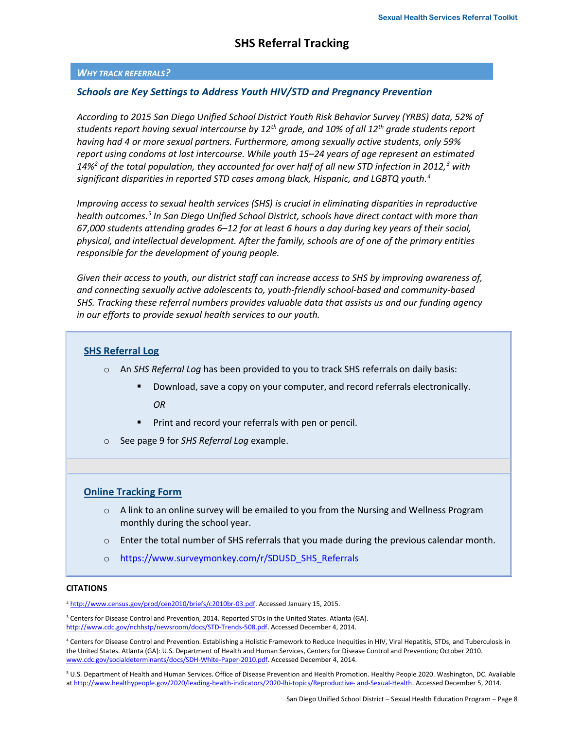#### *WHY TRACK REFERRALS?*

#### *Schools are Key Settings to Address Youth HIV/STD and Pregnancy Prevention*

*According to 2015 San Diego Unified School District Youth Risk Behavior Survey (YRBS) data, 52% of students report having sexual intercourse by 12th grade, and 10% of all 12th grade students report having had 4 or more sexual partners. Furthermore, among sexually active students, only 59% report using condoms at last intercourse. While youth 15–24 years of age represent an estimated 14%<sup>2</sup> of the total population, they accounted for over half of all new STD infection in 2012,<sup>3</sup> with significant disparities in reported STD cases among black, Hispanic, and LGBTQ youth.<sup>4</sup>*

*Improving access to sexual health services (SHS) is crucial in eliminating disparities in reproductive health outcomes.<sup>5</sup> In San Diego Unified School District, schools have direct contact with more than 67,000 students attending grades 6–12 for at least 6 hours a day during key years of their social, physical, and intellectual development. After the family, schools are of one of the primary entities responsible for the development of young people.* 

*Given their access to youth, our district staff can increase access to SHS by improving awareness of,*  and connecting sexually active adolescents to, youth-friendly school-based and community-based *SHS. Tracking these referral numbers provides valuable data that assists us and our funding agency in our efforts to provide sexual health services to our youth.* 

#### **SHS Referral Log**

- o An *SHS Referral Log* has been provided to you to track SHS referrals on daily basis:
	- - Download, save a copy on your computer, and record referrals electronically. *OR*
	- -Print and record your referrals with pen or pencil.
- o See page 9 for *SHS Referral Log* example.

#### **Online Tracking Form**

- o A link to an online survey will be emailed to you from the Nursing and Wellness Program monthly during the school year.
- o Enter the total number of SHS referrals that you made during the previous calendar month.
- o https://www.surveymonkey.com/r/SDUSD\_SHS\_Referrals

#### **CITATIONS**

<sup>2</sup> http://www.census.gov/prod/cen2010/briefs/c2010br-03.pdf. Accessed January 15, 2015.

<sup>3</sup> Centers for Disease Control and Prevention, 2014. Reported STDs in the United States. Atlanta (GA). http://www.cdc.gov/nchhstp/newsroom/docs/STD-Trends-508.pdf. Accessed December 4, 2014.

<sup>4</sup> Centers for Disease Control and Prevention. Establishing a Holistic Framework to Reduce Inequities in HIV, Viral Hepatitis, STDs, and Tuberculosis in the United States. Atlanta (GA): U.S. Department of Health and Human Services, Centers for Disease Control and Prevention; October 2010. www.cdc.gov/socialdeterminants/docs/SDH-White-Paper-2010.pdf. Accessed December 4, 2014.

<sup>5</sup> U.S. Department of Health and Human Services. Office of Disease Prevention and Health Promotion. Healthy People 2020. Washington, DC. Available at http://www.healthypeople.gov/2020/leading-health-indicators/2020-lhi-topics/Reproductive- and-Sexual-Health. Accessed December 5, 2014.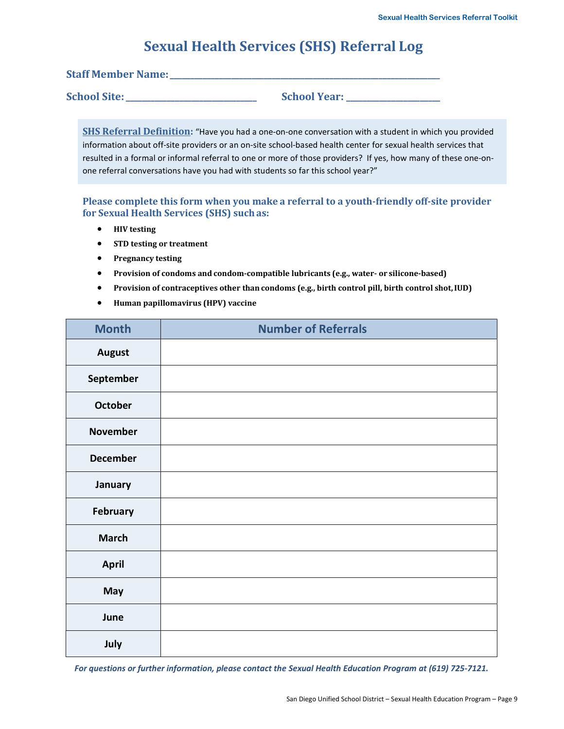## **Sexual Health Services (SHS) Referral Log**

**Staff Member Name:**  $\blacksquare$ 

**School Site:** School Year:

**SHS Referral Definition:** "Have you had a one-on-one conversation with a student in which you provided information about off-site providers or an on-site school-based health center for sexual health services that resulted in a formal or informal referral to one or more of those providers? If yes, how many of these one-onone referral conversations have you had with students so far this school year?"

**Please complete this form when you make a referral to a youth-friendly off-site provider** for Sexual Health Services (SHS) such as:

- **•** HIV testing
- **•** STD testing or treatment
- **•** Pregnancy testing
- **•** Provision of condoms and condom-compatible lubricants (e.g., water- or silicone-based)
- **•** Provision of contraceptives other than condoms (e.g., birth control pill, birth control shot, IUD)
- **•** Human papillomavirus (HPV) vaccine

| <b>Month</b>    | <b>Number of Referrals</b> |
|-----------------|----------------------------|
| <b>August</b>   |                            |
| September       |                            |
| <b>October</b>  |                            |
| <b>November</b> |                            |
| <b>December</b> |                            |
| January         |                            |
| <b>February</b> |                            |
| <b>March</b>    |                            |
| April           |                            |
| May             |                            |
| June            |                            |
| July            |                            |

*For questions or further information, please contact the Sexual Health Education Program at (619) 725-7121.*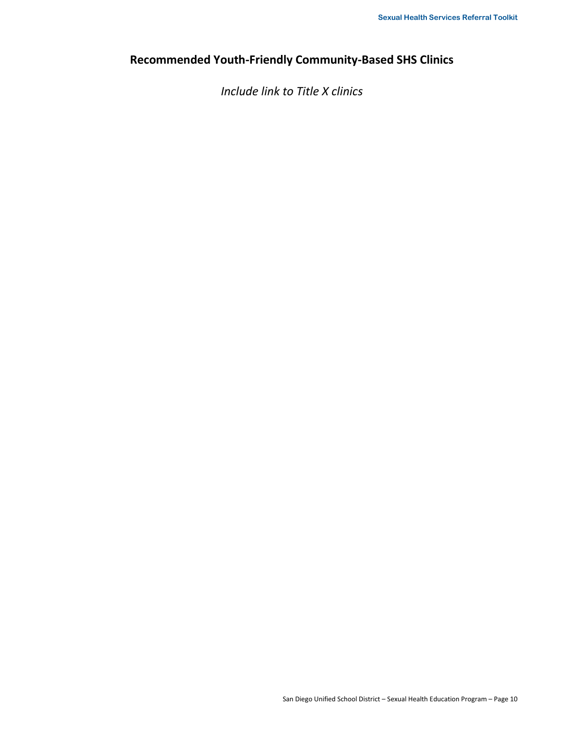## Recommended Youth-Friendly Community-Based SHS Clinics

*Include link to Title X clinics*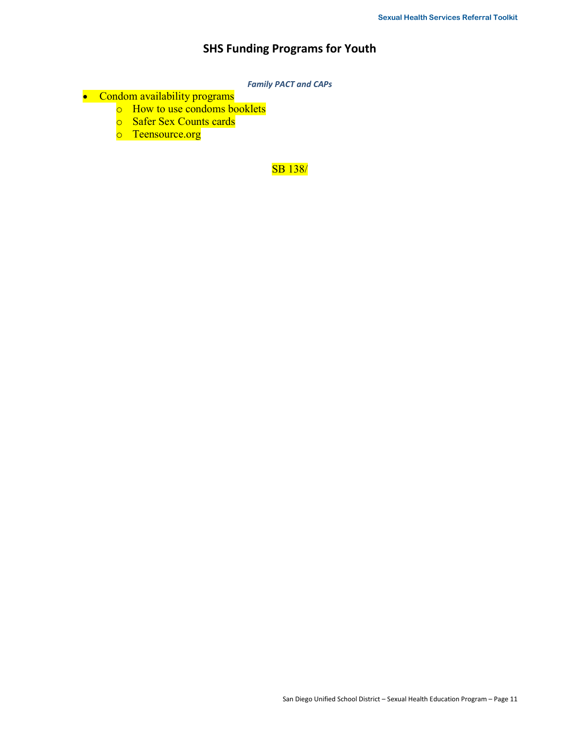## **SHS Funding Programs for Youth**

*Family PACT and CAPs* 

- Condom availability programs
	- o How to use condoms booklets
	- o Safer Sex Counts cards
	- o Teensource.org

SB 138/